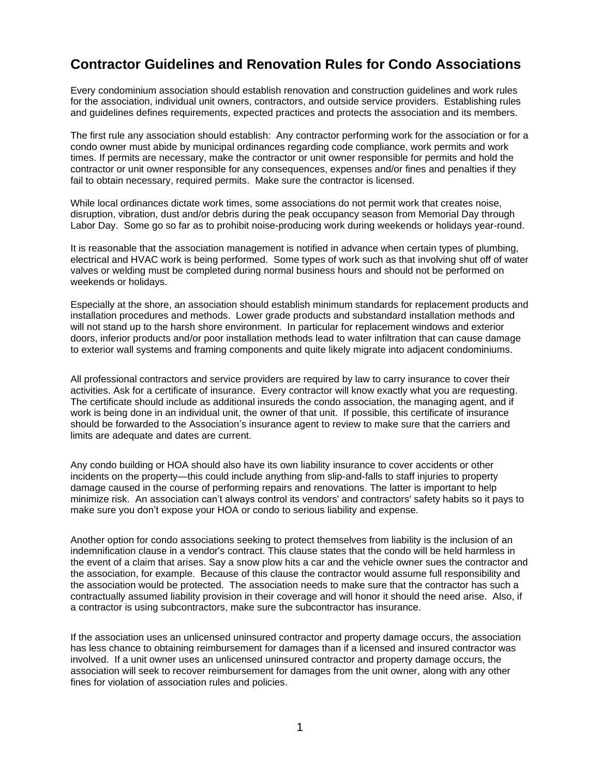## **Contractor Guidelines and Renovation Rules for Condo Associations**

Every condominium association should establish renovation and construction guidelines and work rules for the association, individual unit owners, contractors, and outside service providers. Establishing rules and guidelines defines requirements, expected practices and protects the association and its members.

The first rule any association should establish: Any contractor performing work for the association or for a condo owner must abide by municipal ordinances regarding code compliance, work permits and work times. If permits are necessary, make the contractor or unit owner responsible for permits and hold the contractor or unit owner responsible for any consequences, expenses and/or fines and penalties if they fail to obtain necessary, required permits. Make sure the contractor is licensed.

While local ordinances dictate work times, some associations do not permit work that creates noise, disruption, vibration, dust and/or debris during the peak occupancy season from Memorial Day through Labor Day. Some go so far as to prohibit noise-producing work during weekends or holidays year-round.

It is reasonable that the association management is notified in advance when certain types of plumbing, electrical and HVAC work is being performed. Some types of work such as that involving shut off of water valves or welding must be completed during normal business hours and should not be performed on weekends or holidays.

Especially at the shore, an association should establish minimum standards for replacement products and installation procedures and methods. Lower grade products and substandard installation methods and will not stand up to the harsh shore environment. In particular for replacement windows and exterior doors, inferior products and/or poor installation methods lead to water infiltration that can cause damage to exterior wall systems and framing components and quite likely migrate into adjacent condominiums.

All professional contractors and service providers are required by law to carry insurance to cover their activities. Ask for a certificate of insurance. Every contractor will know exactly what you are requesting. The certificate should include as additional insureds the condo association, the managing agent, and if work is being done in an individual unit, the owner of that unit. If possible, this certificate of insurance should be forwarded to the Association's insurance agent to review to make sure that the carriers and limits are adequate and dates are current.

Any condo building or HOA should also have its own liability insurance to cover accidents or other incidents on the property—this could include anything from slip-and-falls to staff injuries to property damage caused in the course of performing repairs and renovations. The latter is important to help minimize risk. An association can't always control its vendors' and contractors' safety habits so it pays to make sure you don't expose your HOA or condo to serious liability and expense.

Another option for condo associations seeking to protect themselves from liability is the inclusion of an indemnification clause in a vendor's contract. This clause states that the condo will be held harmless in the event of a claim that arises. Say a snow plow hits a car and the vehicle owner sues the contractor and the association, for example. Because of this clause the contractor would assume full responsibility and the association would be protected. The association needs to make sure that the contractor has such a contractually assumed liability provision in their coverage and will honor it should the need arise. Also, if a contractor is using subcontractors, make sure the subcontractor has insurance.

If the association uses an unlicensed uninsured contractor and property damage occurs, the association has less chance to obtaining reimbursement for damages than if a licensed and insured contractor was involved. If a unit owner uses an unlicensed uninsured contractor and property damage occurs, the association will seek to recover reimbursement for damages from the unit owner, along with any other fines for violation of association rules and policies.